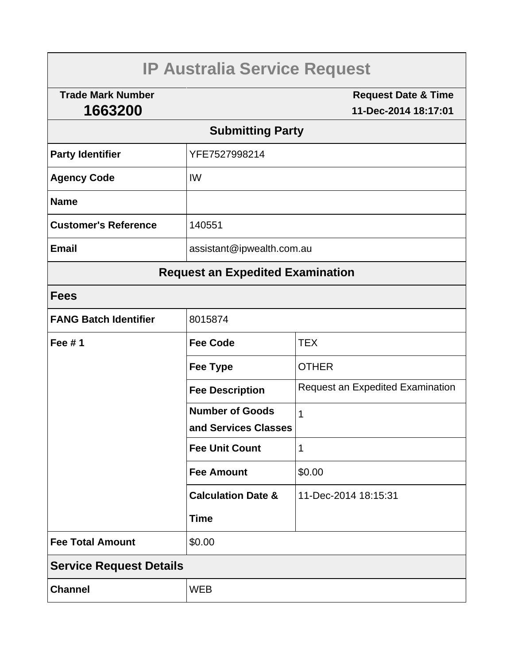| <b>IP Australia Service Request</b>     |                               |                                                        |  |  |  |
|-----------------------------------------|-------------------------------|--------------------------------------------------------|--|--|--|
| <b>Trade Mark Number</b><br>1663200     |                               | <b>Request Date &amp; Time</b><br>11-Dec-2014 18:17:01 |  |  |  |
| <b>Submitting Party</b>                 |                               |                                                        |  |  |  |
| <b>Party Identifier</b>                 | YFE7527998214                 |                                                        |  |  |  |
| <b>Agency Code</b>                      | IW                            |                                                        |  |  |  |
| <b>Name</b>                             |                               |                                                        |  |  |  |
| <b>Customer's Reference</b>             | 140551                        |                                                        |  |  |  |
| <b>Email</b>                            | assistant@ipwealth.com.au     |                                                        |  |  |  |
| <b>Request an Expedited Examination</b> |                               |                                                        |  |  |  |
| <b>Fees</b>                             |                               |                                                        |  |  |  |
| <b>FANG Batch Identifier</b>            | 8015874                       |                                                        |  |  |  |
| <b>Fee #1</b>                           | <b>Fee Code</b>               | <b>TEX</b>                                             |  |  |  |
|                                         | <b>Fee Type</b>               | <b>OTHER</b>                                           |  |  |  |
|                                         | <b>Fee Description</b>        | <b>Request an Expedited Examination</b>                |  |  |  |
|                                         | <b>Number of Goods</b>        | 1                                                      |  |  |  |
|                                         | and Services Classes          |                                                        |  |  |  |
|                                         | <b>Fee Unit Count</b>         | 1                                                      |  |  |  |
|                                         | <b>Fee Amount</b>             | \$0.00                                                 |  |  |  |
|                                         | <b>Calculation Date &amp;</b> | 11-Dec-2014 18:15:31                                   |  |  |  |
|                                         | <b>Time</b>                   |                                                        |  |  |  |
| <b>Fee Total Amount</b>                 | \$0.00                        |                                                        |  |  |  |
| <b>Service Request Details</b>          |                               |                                                        |  |  |  |
| <b>Channel</b>                          | <b>WEB</b>                    |                                                        |  |  |  |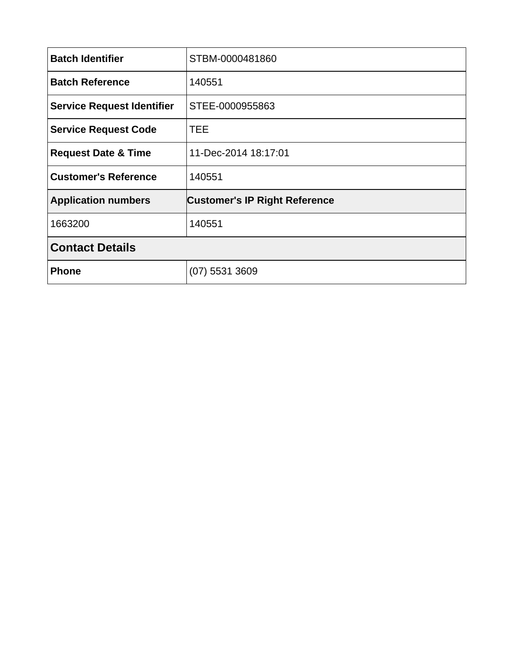| <b>Batch Identifier</b>           | STBM-0000481860                      |  |
|-----------------------------------|--------------------------------------|--|
| <b>Batch Reference</b>            | 140551                               |  |
| <b>Service Request Identifier</b> | STEE-0000955863                      |  |
| <b>Service Request Code</b>       | <b>TEE</b>                           |  |
| <b>Request Date &amp; Time</b>    | 11-Dec-2014 18:17:01                 |  |
| <b>Customer's Reference</b>       | 140551                               |  |
| <b>Application numbers</b>        | <b>Customer's IP Right Reference</b> |  |
| 1663200                           | 140551                               |  |
| <b>Contact Details</b>            |                                      |  |
| <b>Phone</b>                      | $(07)$ 5531 3609                     |  |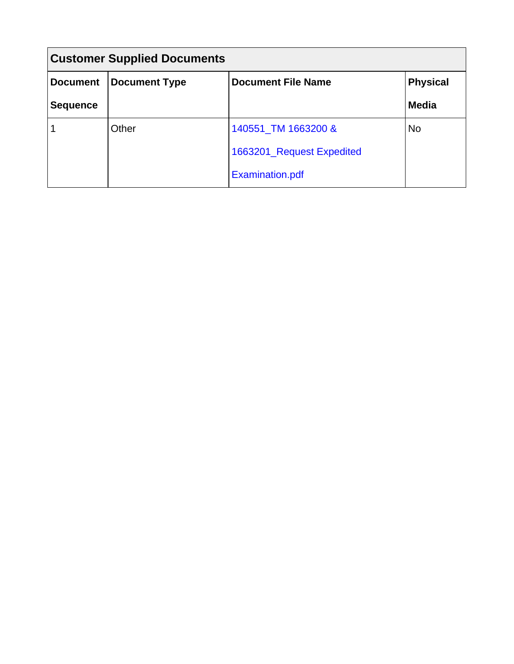| <b>Customer Supplied Documents</b> |                      |                                              |              |  |
|------------------------------------|----------------------|----------------------------------------------|--------------|--|
| <b>Document</b>                    | <b>Document Type</b> | <b>Document File Name</b><br><b>Physical</b> |              |  |
| <b>Sequence</b>                    |                      |                                              | <b>Media</b> |  |
|                                    | Other                | 140551_TM 1663200 &                          | No           |  |
|                                    |                      | 1663201_Request Expedited                    |              |  |
|                                    |                      | <b>Examination.pdf</b>                       |              |  |